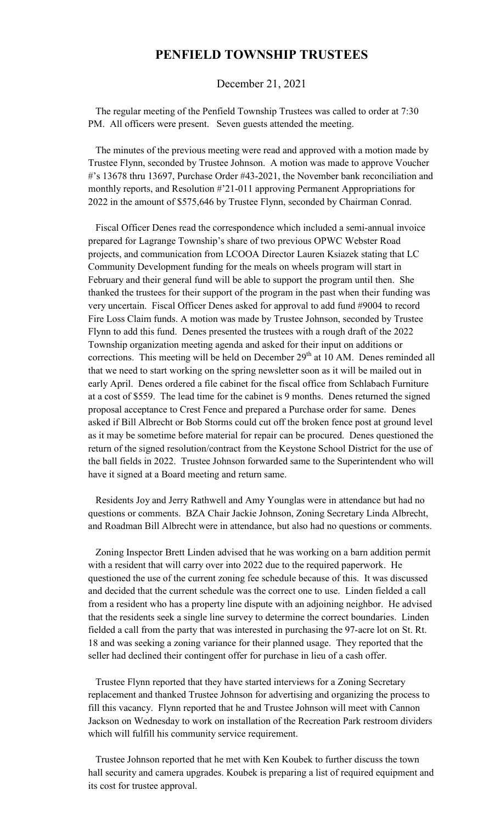## **PENFIELD TOWNSHIP TRUSTEES**

## December 21, 2021

 The regular meeting of the Penfield Township Trustees was called to order at 7:30 PM. All officers were present. Seven guests attended the meeting.

 The minutes of the previous meeting were read and approved with a motion made by Trustee Flynn, seconded by Trustee Johnson. A motion was made to approve Voucher #'s 13678 thru 13697, Purchase Order #43-2021, the November bank reconciliation and monthly reports, and Resolution #'21-011 approving Permanent Appropriations for 2022 in the amount of \$575,646 by Trustee Flynn, seconded by Chairman Conrad.

 Fiscal Officer Denes read the correspondence which included a semi-annual invoice prepared for Lagrange Township's share of two previous OPWC Webster Road projects, and communication from LCOOA Director Lauren Ksiazek stating that LC Community Development funding for the meals on wheels program will start in February and their general fund will be able to support the program until then. She thanked the trustees for their support of the program in the past when their funding was very uncertain. Fiscal Officer Denes asked for approval to add fund #9004 to record Fire Loss Claim funds. A motion was made by Trustee Johnson, seconded by Trustee Flynn to add this fund. Denes presented the trustees with a rough draft of the 2022 Township organization meeting agenda and asked for their input on additions or corrections. This meeting will be held on December  $29<sup>th</sup>$  at 10 AM. Denes reminded all that we need to start working on the spring newsletter soon as it will be mailed out in early April. Denes ordered a file cabinet for the fiscal office from Schlabach Furniture at a cost of \$559. The lead time for the cabinet is 9 months. Denes returned the signed proposal acceptance to Crest Fence and prepared a Purchase order for same. Denes asked if Bill Albrecht or Bob Storms could cut off the broken fence post at ground level as it may be sometime before material for repair can be procured. Denes questioned the return of the signed resolution/contract from the Keystone School District for the use of the ball fields in 2022. Trustee Johnson forwarded same to the Superintendent who will have it signed at a Board meeting and return same.

 Residents Joy and Jerry Rathwell and Amy Younglas were in attendance but had no questions or comments. BZA Chair Jackie Johnson, Zoning Secretary Linda Albrecht, and Roadman Bill Albrecht were in attendance, but also had no questions or comments.

 Zoning Inspector Brett Linden advised that he was working on a barn addition permit with a resident that will carry over into 2022 due to the required paperwork. He questioned the use of the current zoning fee schedule because of this. It was discussed and decided that the current schedule was the correct one to use. Linden fielded a call from a resident who has a property line dispute with an adjoining neighbor. He advised that the residents seek a single line survey to determine the correct boundaries. Linden fielded a call from the party that was interested in purchasing the 97-acre lot on St. Rt. 18 and was seeking a zoning variance for their planned usage. They reported that the seller had declined their contingent offer for purchase in lieu of a cash offer.

 Trustee Flynn reported that they have started interviews for a Zoning Secretary replacement and thanked Trustee Johnson for advertising and organizing the process to fill this vacancy. Flynn reported that he and Trustee Johnson will meet with Cannon Jackson on Wednesday to work on installation of the Recreation Park restroom dividers which will fulfill his community service requirement.

 Trustee Johnson reported that he met with Ken Koubek to further discuss the town hall security and camera upgrades. Koubek is preparing a list of required equipment and its cost for trustee approval.